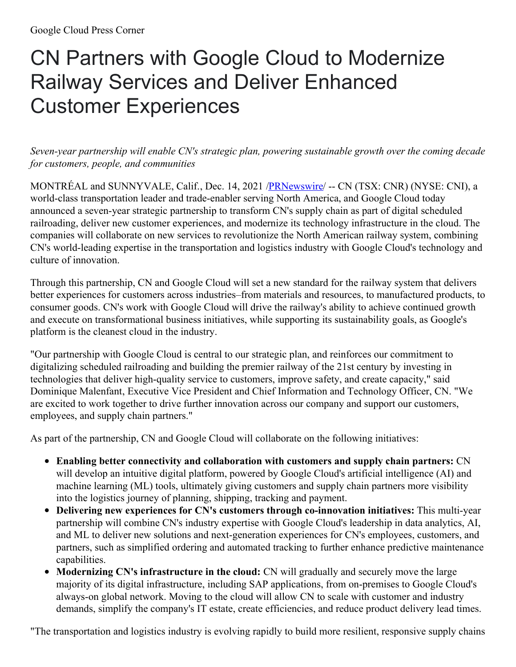## CN Partners with Google Cloud to Modernize Railway Services and Deliver Enhanced Customer Experiences

*Seven-year partnership will enable CN's strategic plan, powering sustainable growth over the coming decade for customers, people, and communities*

MONTRÉAL and SUNNYVALE, Calif., Dec. 14, 2021 /**PRNewswire/ -- CN** (TSX: CNR) (NYSE: CNI), a world-class transportation leader and trade-enabler serving North America, and Google Cloud today announced a seven-year strategic partnership to transform CN's supply chain as part of digital scheduled railroading, deliver new customer experiences, and modernize its technology infrastructure in the cloud. The companies will collaborate on new services to revolutionize the North American railway system, combining CN's world-leading expertise in the transportation and logistics industry with Google Cloud's technology and culture of innovation.

Through this partnership, CN and Google Cloud will set a new standard for the railway system that delivers better experiences for customers across industries–from materials and resources, to manufactured products, to consumer goods. CN's work with Google Cloud will drive the railway's ability to achieve continued growth and execute on transformational business initiatives, while supporting its sustainability goals, as Google's platform is the cleanest cloud in the industry.

"Our partnership with Google Cloud is central to our strategic plan, and reinforces our commitment to digitalizing scheduled railroading and building the premier railway of the 21st century by investing in technologies that deliver high-quality service to customers, improve safety, and create capacity," said Dominique Malenfant, Executive Vice President and Chief Information and Technology Officer, CN. "We are excited to work together to drive further innovation across our company and support our customers, employees, and supply chain partners."

As part of the partnership, CN and Google Cloud will collaborate on the following initiatives:

- **Enabling better connectivity and collaboration with customers and supply chain partners:** CN will develop an intuitive digital platform, powered by Google Cloud's artificial intelligence (AI) and machine learning (ML) tools, ultimately giving customers and supply chain partners more visibility into the logistics journey of planning, shipping, tracking and payment.
- **Delivering new experiences for CN's customers through co-innovation initiatives:** This multi-year partnership will combine CN's industry expertise with Google Cloud's leadership in data analytics, AI, and ML to deliver new solutions and next-generation experiences for CN's employees, customers, and partners, such as simplified ordering and automated tracking to further enhance predictive maintenance capabilities.
- **Modernizing CN's infrastructure in the cloud:** CN will gradually and securely move the large majority of its digital infrastructure, including SAP applications, from on-premises to Google Cloud's always-on global network. Moving to the cloud will allow CN to scale with customer and industry demands, simplify the company's IT estate, create efficiencies, and reduce product delivery lead times.

"The transportation and logistics industry is evolving rapidly to build more resilient, responsive supply chains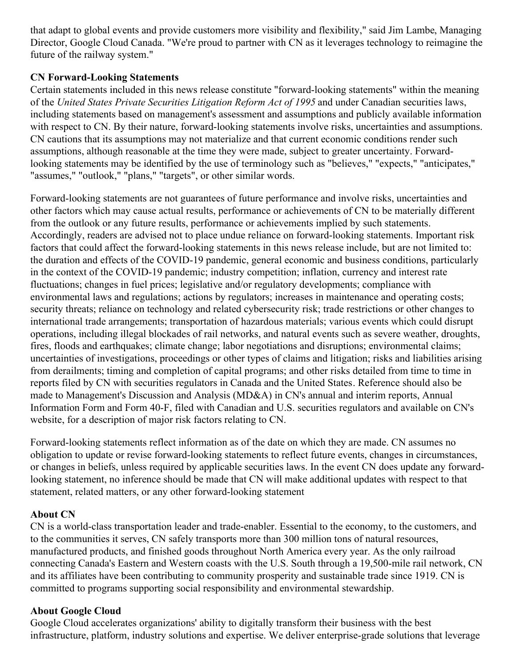that adapt to global events and provide customers more visibility and flexibility," said Jim Lambe, Managing Director, Google Cloud Canada. "We're proud to partner with CN as it leverages technology to reimagine the future of the railway system."

## **CN Forward-Looking Statements**

Certain statements included in this news release constitute "forward-looking statements" within the meaning of the *United States Private Securities Litigation Reform Act of 1995* and under Canadian securities laws, including statements based on management's assessment and assumptions and publicly available information with respect to CN. By their nature, forward-looking statements involve risks, uncertainties and assumptions. CN cautions that its assumptions may not materialize and that current economic conditions render such assumptions, although reasonable at the time they were made, subject to greater uncertainty. Forwardlooking statements may be identified by the use of terminology such as "believes," "expects," "anticipates," "assumes," "outlook," "plans," "targets", or other similar words.

Forward-looking statements are not guarantees of future performance and involve risks, uncertainties and other factors which may cause actual results, performance or achievements of CN to be materially different from the outlook or any future results, performance or achievements implied by such statements. Accordingly, readers are advised not to place undue reliance on forward-looking statements. Important risk factors that could affect the forward-looking statements in this news release include, but are not limited to: the duration and effects of the COVID-19 pandemic, general economic and business conditions, particularly in the context of the COVID-19 pandemic; industry competition; inflation, currency and interest rate fluctuations; changes in fuel prices; legislative and/or regulatory developments; compliance with environmental laws and regulations; actions by regulators; increases in maintenance and operating costs; security threats; reliance on technology and related cybersecurity risk; trade restrictions or other changes to international trade arrangements; transportation of hazardous materials; various events which could disrupt operations, including illegal blockades of rail networks, and natural events such as severe weather, droughts, fires, floods and earthquakes; climate change; labor negotiations and disruptions; environmental claims; uncertainties of investigations, proceedings or other types of claims and litigation; risks and liabilities arising from derailments; timing and completion of capital programs; and other risks detailed from time to time in reports filed by CN with securities regulators in Canada and the United States. Reference should also be made to Management's Discussion and Analysis (MD&A) in CN's annual and interim reports, Annual Information Form and Form 40-F, filed with Canadian and U.S. securities regulators and available on CN's website, for a description of major risk factors relating to CN.

Forward-looking statements reflect information as of the date on which they are made. CN assumes no obligation to update or revise forward-looking statements to reflect future events, changes in circumstances, or changes in beliefs, unless required by applicable securities laws. In the event CN does update any forwardlooking statement, no inference should be made that CN will make additional updates with respect to that statement, related matters, or any other forward-looking statement

## **About CN**

CN is a world-class transportation leader and trade-enabler. Essential to the economy, to the customers, and to the communities it serves, CN safely transports more than 300 million tons of natural resources, manufactured products, and finished goods throughout North America every year. As the only railroad connecting Canada's Eastern and Western coasts with the U.S. South through a 19,500-mile rail network, CN and its affiliates have been contributing to community prosperity and sustainable trade since 1919. CN is committed to programs supporting social responsibility and environmental stewardship.

## **About Google Cloud**

Google Cloud accelerates organizations' ability to digitally transform their business with the best infrastructure, platform, industry solutions and expertise. We deliver enterprise-grade solutions that leverage